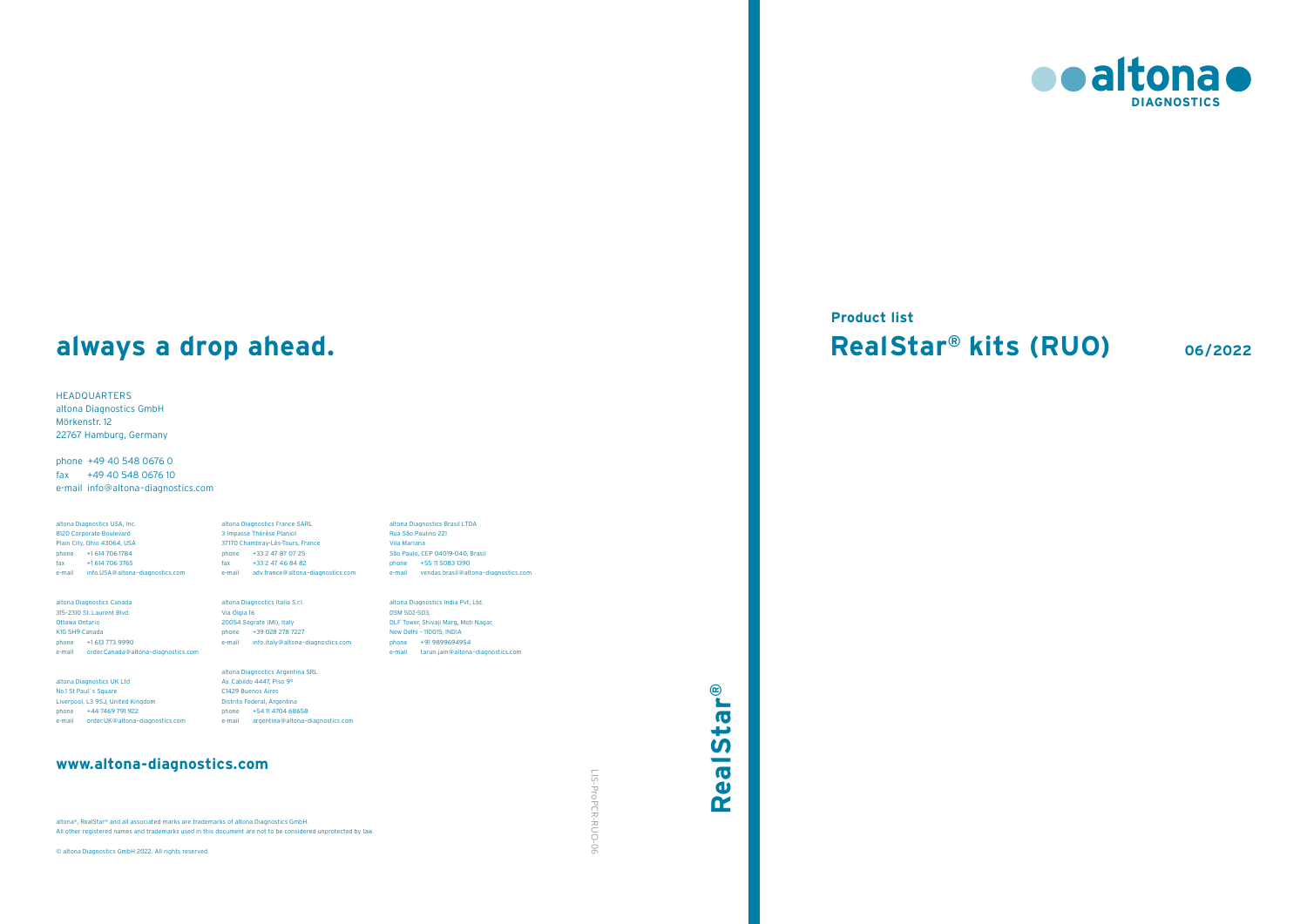## **always a drop ahead.**

**www.altona-diagnostics.com**

LIS-ProPCR-RUO-06

LIS-ProPCR-RUO-06

HEADQUARTERS altona Diagnostics GmbH Mörkenstr. 12 22767 Hamburg, Germany

phone +49 40 548 0676 0 fax +49 40 548 0676 10 e-mail info@altona–diagnostics.com

# **Product list RealStar® kits (RUO) 06/2022**





altona®, RealStar® and all associated marks are trademarks of altona Diagnostics GmbH. All other registered names and trademarks used in this document are not to be considered unprotected by law.

© altona Diagnostics GmbH 2022. All rights reserved.

altona Diagnostics USA, Inc. 8120 Corporate Boulevard Plain City, Ohio 43064, USA phone +1 614 706 1784 fax +1 614 706 3765 e-mail info.USA@altona–diagnostics.com

altona Diagnostics Canada 315-2310 St. Laurent Blvd. Ottawa Ontario K1G 5H9 Canada

phone +1 613 773 9990 e-mail order.Canada@altona–diagnostics.com

altona Diagnostics UK Ltd No.1 St Paul´s Square Liverpool, L3 9SJ, United Kingdom phone +44 7469 791 922 e-mail order.UK@altona–diagnostics.com

altona Diagnostics France SARL 3 Impasse Thérèse Planiol 37170 Chambray-Lès-Tours, France phone +33 2 47 87 07 25 fax +33 2 47 46 84 82 e-mail adv.france@altona–diagnostics.com

altona Diagnostics Italia S.r.l. Via Olgia 16 20054 Segrate (MI), Italy phone +39 028 278 7227 e-mail info.italy@altona–diagnostics.com

altona Diagnostics Argentina SRL Av. Cabildo 4447, Piso 9º C1429 Buenos Aires Distrito Federal, Argentina phone +54 11 4704 68658 e-mail argentina@altona–diagnostics.com

### altona Diagnostics Brasil LTDA Rua São Paulino 221 Vila Mariana São Paulo, CEP 04019-040, Brasil phone +55 11 5083 1390 e-mail vendas.brasil@altona–diagnostics.com

altona Diagnostics India Pvt, Ltd. DSM 502-503, DLF Tower, Shivaji Marg, Moti Nagar, New Delhi – 110015, INDIA phone +91 9899694954 e-mail tarun.jain@altona–diagnostics.com